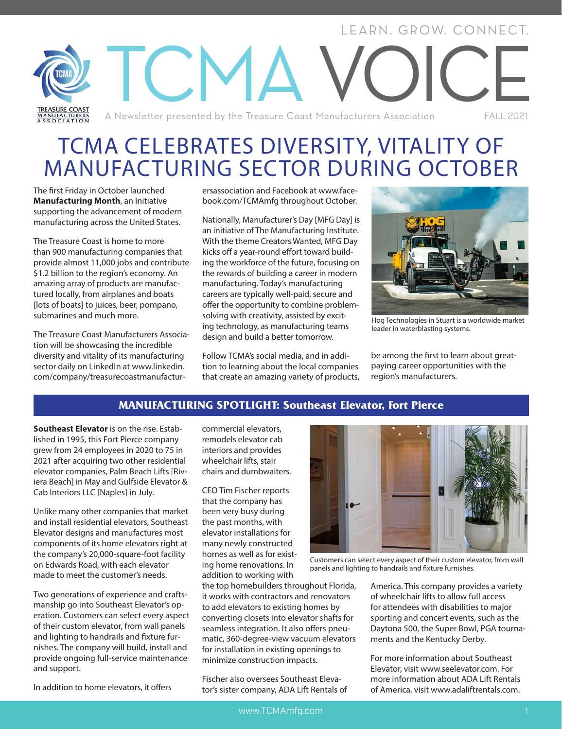# LEARN. GROW. CONNECT. ICMA **IKEASUKE COASI**<br>MANUFACTURERS<br>A S S O C LAT LO N A Newsletter presented by the Treasure Coast Manufacturers Association FALL 2021

# TCMA CELEBRATES DIVERSITY, VITALITY OF MANUFACTURING SECTOR DURING OCTOBER

The first Friday in October launched **Manufacturing Month**, an initiative supporting the advancement of modern manufacturing across the United States.

The Treasure Coast is home to more than 900 manufacturing companies that provide almost 11,000 jobs and contribute \$1.2 billion to the region's economy. An amazing array of products are manufactured locally, from airplanes and boats [lots of boats] to juices, beer, pompano, submarines and much more.

The Treasure Coast Manufacturers Association will be showcasing the incredible diversity and vitality of its manufacturing sector daily on LinkedIn at www.linkedin. com/company/treasurecoastmanufacturersassociation and Facebook at www.facebook.com/TCMAmfg throughout October.

Nationally, Manufacturer's Day [MFG Day] is an initiative of The Manufacturing Institute. With the theme Creators Wanted, MFG Day kicks off a year-round effort toward building the workforce of the future, focusing on the rewards of building a career in modern manufacturing. Today's manufacturing careers are typically well-paid, secure and offer the opportunity to combine problemsolving with creativity, assisted by exciting technology, as manufacturing teams design and build a better tomorrow.

Follow TCMA's social media, and in addition to learning about the local companies that create an amazing variety of products,



Hog Technologies in Stuart is a worldwide market leader in waterblasting systems.

be among the first to learn about greatpaying career opportunities with the region's manufacturers.

### **MANUFACTURING SPOTLIGHT: Southeast Elevator, Fort Pierce**

**Southeast Elevator** is on the rise. Established in 1995, this Fort Pierce company grew from 24 employees in 2020 to 75 in 2021 after acquiring two other residential elevator companies, Palm Beach Lifts [Riviera Beach] in May and Gulfside Elevator & Cab Interiors LLC [Naples] in July.

Unlike many other companies that market and install residential elevators, Southeast Elevator designs and manufactures most components of its home elevators right at the company's 20,000-square-foot facility on Edwards Road, with each elevator made to meet the customer's needs.

Two generations of experience and craftsmanship go into Southeast Elevator's operation. Customers can select every aspect of their custom elevator, from wall panels and lighting to handrails and fixture furnishes. The company will build, install and provide ongoing full-service maintenance and support.

In addition to home elevators, it offers

commercial elevators, remodels elevator cab interiors and provides wheelchair lifts, stair chairs and dumbwaiters.

CEO Tim Fischer reports that the company has been very busy during the past months, with elevator installations for many newly constructed homes as well as for existing home renovations. In addition to working with

the top homebuilders throughout Florida, it works with contractors and renovators to add elevators to existing homes by converting closets into elevator shafts for seamless integration. It also offers pneumatic, 360-degree-view vacuum elevators for installation in existing openings to minimize construction impacts.

Fischer also oversees Southeast Elevator's sister company, ADA Lift Rentals of



Customers can select every aspect of their custom elevator, from wall panels and lighting to handrails and fixture furnishes.

America. This company provides a variety of wheelchair lifts to allow full access for attendees with disabilities to major sporting and concert events, such as the Daytona 500, the Super Bowl, PGA tournaments and the Kentucky Derby.

For more information about Southeast Elevator, visit www.seelevator.com. For more information about ADA Lift Rentals of America, visit www.adaliftrentals.com.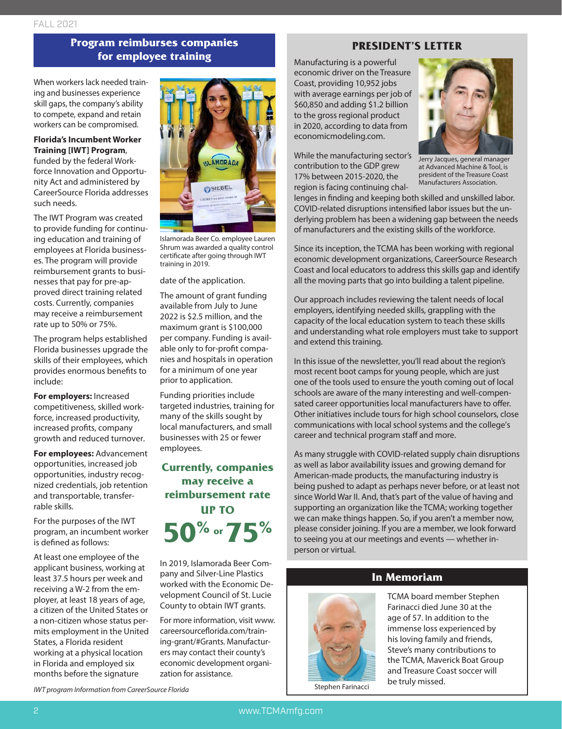# **Program reimburses companies for employee training**

When workers lack needed training and businesses experience skill gaps, the company's ability to compete, expand and retain workers can be compromised.

#### **Florida's Incumbent Worker Training [IWT] Program**,

funded by the federal Workforce Innovation and Opportunity Act and administered by CareerSource Florida addresses such needs.

The IWT Program was created to provide funding for continuing education and training of employees at Florida businesses. The program will provide reimbursement grants to businesses that pay for pre-approved direct training related costs. Currently, companies may receive a reimbursement rate up to 50% or 75%.

The program helps established Florida businesses upgrade the skills of their employees, which provides enormous benefits to include:

**For employers:** Increased competitiveness, skilled workforce, increased productivity, increased profits, company growth and reduced turnover.

**For employees:** Advancement opportunities, increased job opportunities, industry recognized credentials, job retention and transportable, transferrable skills.

For the purposes of the IWT program, an incumbent worker is defined as follows:

At least one employee of the applicant business, working at least 37.5 hours per week and receiving a W-2 from the employer, at least 18 years of age, a citizen of the United States or a non-citizen whose status permits employment in the United States, a Florida resident working at a physical location in Florida and employed six months before the signature



Islamorada Beer Co. employee Lauren Shrum was awarded a quality control certificate after going through IWT training in 2019.

date of the application.

The amount of grant funding available from July to June 2022 is \$2.5 million, and the maximum grant is \$100,000 per company. Funding is available only to for-profit companies and hospitals in operation for a minimum of one year prior to application.

Funding priorities include targeted industries, training for many of the skills sought by local manufacturers, and small businesses with 25 or fewer employees.

**Currently, companies may receive a reimbursement rate UP TO 50% or 75%**

In 2019, Islamorada Beer Company and Silver-Line Plastics worked with the Economic Development Council of St. Lucie County to obtain IWT grants.

For more information, visit www. careersourceflorida.com/training-grant/#Grants. Manufacturers may contact their county's economic development organization for assistance.

# **PRESIDENT'S LETTER**

Manufacturing is a powerful economic driver on the Treasure Coast, providing 10,952 jobs with average earnings per job of \$60,850 and adding \$1.2 billion to the gross regional product in 2020, according to data from economicmodeling.com.

While the manufacturing sector's contribution to the GDP grew 17% between 2015-2020, the region is facing continuing chal-



Jerry Jacques, general manager at Advanced Machine & Tool, is president of the Treasure Coast Manufacturers Association.

lenges in finding and keeping both skilled and unskilled labor. COVID-related disruptions intensified labor issues but the underlying problem has been a widening gap between the needs of manufacturers and the existing skills of the workforce.

Since its inception, the TCMA has been working with regional economic development organizations, CareerSource Research Coast and local educators to address this skills gap and identify all the moving parts that go into building a talent pipeline.

Our approach includes reviewing the talent needs of local employers, identifying needed skills, grappling with the capacity of the local education system to teach these skills and understanding what role employers must take to support and extend this training.

In this issue of the newsletter, you'll read about the region's most recent boot camps for young people, which are just one of the tools used to ensure the youth coming out of local schools are aware of the many interesting and well-compensated career opportunities local manufacturers have to offer. Other initiatives include tours for high school counselors, close communications with local school systems and the college's career and technical program staff and more.

As many struggle with COVID-related supply chain disruptions as well as labor availability issues and growing demand for American-made products, the manufacturing industry is being pushed to adapt as perhaps never before, or at least not since World War II. And, that's part of the value of having and supporting an organization like the TCMA; working together we can make things happen. So, if you aren't a member now, please consider joining. If you are a member, we look forward to seeing you at our meetings and events — whether inperson or virtual.

**In Memoriam**

TCMA board member Stephen Farinacci died June 30 at the age of 57. In addition to the immense loss experienced by his loving family and friends, Steve's many contributions to the TCMA, Maverick Boat Group and Treasure Coast soccer will be truly missed. Stephen Farinacci

*IWT program Information from CareerSource Florida*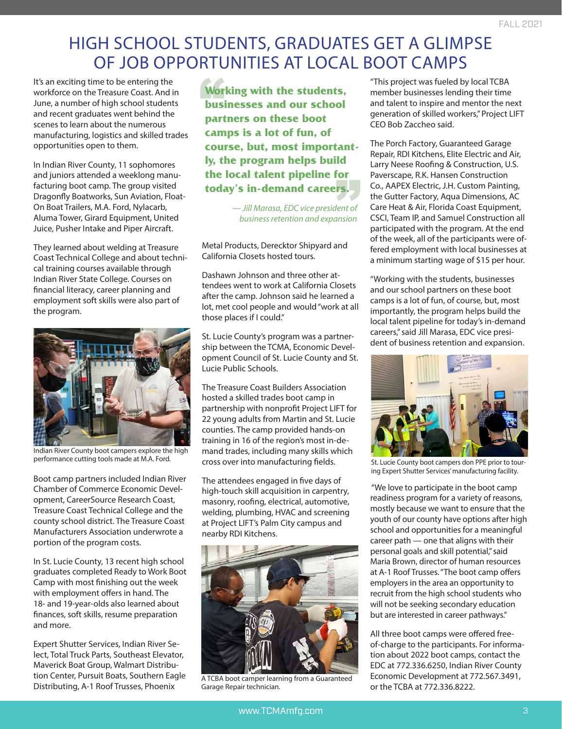# HIGH SCHOOL STUDENTS, GRADUATES GET A GLIMPSE OF JOB OPPORTUNITIES AT LOCAL BOOT CAMPS

It's an exciting time to be entering the workforce on the Treasure Coast. And in June, a number of high school students and recent graduates went behind the scenes to learn about the numerous manufacturing, logistics and skilled trades opportunities open to them.

In Indian River County, 11 sophomores and juniors attended a weeklong manufacturing boot camp. The group visited Dragonfly Boatworks, Sun Aviation, Float-On Boat Trailers, M.A. Ford, Nylacarb, Aluma Tower, Girard Equipment, United Juice, Pusher Intake and Piper Aircraft.

They learned about welding at Treasure Coast Technical College and about technical training courses available through Indian River State College. Courses on financial literacy, career planning and employment soft skills were also part of the program.



Indian River County boot campers explore the high performance cutting tools made at M.A. Ford.

Boot camp partners included Indian River Chamber of Commerce Economic Development, CareerSource Research Coast, Treasure Coast Technical College and the county school district. The Treasure Coast Manufacturers Association underwrote a portion of the program costs.

In St. Lucie County, 13 recent high school graduates completed Ready to Work Boot Camp with most finishing out the week with employment offers in hand. The 18- and 19-year-olds also learned about finances, soft skills, resume preparation and more.

Expert Shutter Services, Indian River Select, Total Truck Parts, Southeast Elevator, Maverick Boat Group, Walmart Distribution Center, Pursuit Boats, Southern Eagle Distributing, A-1 Roof Trusses, Phoenix

Wor<br>busi<br>part the local talent pipeline for<br>today's in-demand careers. **Working with the students, businesses and our school partners on these boot camps is a lot of fun, of course, but, most importantly, the program helps build the local talent pipeline for** 

> *— Jill Marasa, EDC vice president of business retention and expansion*

Metal Products, Derecktor Shipyard and California Closets hosted tours.

Dashawn Johnson and three other attendees went to work at California Closets after the camp. Johnson said he learned a lot, met cool people and would "work at all those places if I could."

St. Lucie County's program was a partnership between the TCMA, Economic Development Council of St. Lucie County and St. Lucie Public Schools.

The Treasure Coast Builders Association hosted a skilled trades boot camp in partnership with nonprofit Project LIFT for 22 young adults from Martin and St. Lucie counties. The camp provided hands-on training in 16 of the region's most in-demand trades, including many skills which cross over into manufacturing fields.

The attendees engaged in five days of high-touch skill acquisition in carpentry, masonry, roofing, electrical, automotive, welding, plumbing, HVAC and screening at Project LIFT's Palm City campus and nearby RDI Kitchens.



A TCBA boot camper learning from a Guaranteed Garage Repair technician.

"This project was fueled by local TCBA member businesses lending their time and talent to inspire and mentor the next generation of skilled workers," Project LIFT CEO Bob Zaccheo said.

The Porch Factory, Guaranteed Garage Repair, RDI Kitchens, Elite Electric and Air, Larry Neese Roofing & Construction, U.S. Paverscape, R.K. Hansen Construction Co., AAPEX Electric, J.H. Custom Painting, the Gutter Factory, Aqua Dimensions, AC Care Heat & Air, Florida Coast Equipment, CSCI, Team IP, and Samuel Construction all participated with the program. At the end of the week, all of the participants were offered employment with local businesses at a minimum starting wage of \$15 per hour.

"Working with the students, businesses and our school partners on these boot camps is a lot of fun, of course, but, most importantly, the program helps build the local talent pipeline for today's in-demand careers," said Jill Marasa, EDC vice president of business retention and expansion.



St. Lucie County boot campers don PPE prior to touring Expert Shutter Services' manufacturing facility.

 "We love to participate in the boot camp readiness program for a variety of reasons, mostly because we want to ensure that the youth of our county have options after high school and opportunities for a meaningful career path — one that aligns with their personal goals and skill potential," said Maria Brown, director of human resources at A-1 Roof Trusses. "The boot camp offers employers in the area an opportunity to recruit from the high school students who will not be seeking secondary education but are interested in career pathways."

All three boot camps were offered freeof-charge to the participants. For information about 2022 boot camps, contact the EDC at 772.336.6250, Indian River County Economic Development at 772.567.3491, or the TCBA at 772.336.8222.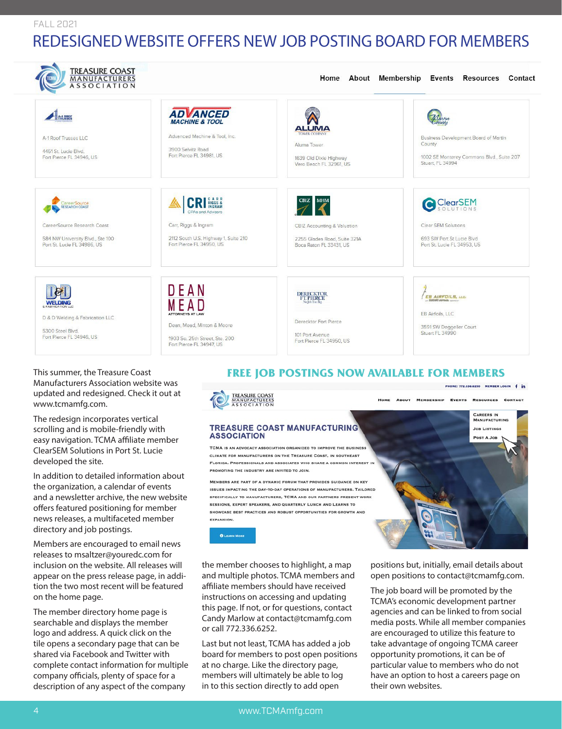#### FALL 2021

# REDESIGNED WEBSITE OFFERS NEW JOB POSTING BOARD FOR MEMBERS

| <b>TREASURE COAST</b><br>MANUFACTURERS<br><b>ASSOCIATION</b>                                                   |                                                                                                                                                |                                                                                                                   | Home About Membership Events Resources Contact                                                                  |
|----------------------------------------------------------------------------------------------------------------|------------------------------------------------------------------------------------------------------------------------------------------------|-------------------------------------------------------------------------------------------------------------------|-----------------------------------------------------------------------------------------------------------------|
| A-1 ROOL<br>A-1 Roof Trusses LLC<br>4451 St. Lucie Blvd.<br>Fort Pierce FL 34946, US                           | <b>ADVANCED</b><br><b>MACHINE &amp; TOOL</b><br>Advanced Machine & Tool, Inc.<br>3900 Selvitz Road<br>Fort Pierce FL 34981, US                 | <b>ALUMA</b><br><b>TOWER COMPANY</b><br>Aluma Tower<br>1639 Old Dixie Highway<br>Vero Beach FL 32961, US          | Business Development Board of Martin<br>County<br>1002 SE Monterey Commons Blvd., Suite 207<br>Stuart, FL 34994 |
| CareerSource<br>CareerSource Research Coast<br>584 NW University Blvd., Ste 100<br>Port St. Lucie FL 34986, US | <b>CRI RIGGS &amp;</b><br><b>CPAs and Advisors</b><br>Carr, Riggs & Ingram<br>2112 South U.S. Highway 1, Suite 210<br>Fort Pierce FL 34950, US | <b>CBIZ</b> MHM<br>CBIZ Accounting & Valuation<br>2255 Glades Road, Suite 321A<br>Boca Raton FL 33431, US         | C ClearSEM<br>Clear SEM Solutions<br>693 SW Port St Lucie Blvd<br>Port St. Lucie FL 34953, US                   |
| & FABRICATION LLC<br>D & D Welding & Fabrication LLC<br>5300 Steel Blvd.<br>Fort Pierce FL 34946, US           | DEAN<br><b>ATTORNEYS AT LAW</b><br>Dean, Mead, Minton & Moore<br>1903 So. 25th Street, Ste. 200<br>Fort Pierce FL 34947, US                    | DERECKTOR<br>FT. PIERCE<br>No Job Too Big<br>Derecktor Fort Pierce<br>101 Port Avenue<br>Fort Pierce FL 34950, US | EB AIRFOILS, LLC.<br><b>EB Airfoils, LLC</b><br>3591 SW Deggeller Court<br>Stuart FL 34990                      |

This summer, the Treasure Coast Manufacturers Association website was updated and redesigned. Check it out at www.tcmamfg.com.

The redesign incorporates vertical scrolling and is mobile-friendly with easy navigation. TCMA affiliate member ClearSEM Solutions in Port St. Lucie developed the site.

In addition to detailed information about the organization, a calendar of events and a newsletter archive, the new website offers featured positioning for member news releases, a multifaceted member directory and job postings.

Members are encouraged to email news releases to msaltzer@youredc.com for inclusion on the website. All releases will appear on the press release page, in addition the two most recent will be featured on the home page.

The member directory home page is searchable and displays the member logo and address. A quick click on the tile opens a secondary page that can be shared via Facebook and Twitter with complete contact information for multiple company officials, plenty of space for a description of any aspect of the company

# **FREE JOB POSTINGS NOW AVAILABLE FOR MEMBERS**



the member chooses to highlight, a map and multiple photos. TCMA members and affiliate members should have received instructions on accessing and updating this page. If not, or for questions, contact Candy Marlow at contact@tcmamfg.com or call 772.336.6252.

**EXPANSION. O LEARN MORE** 

Last but not least, TCMA has added a job board for members to post open positions at no charge. Like the directory page, members will ultimately be able to log in to this section directly to add open

positions but, initially, email details about open positions to contact@tcmamfg.com.

The job board will be promoted by the TCMA's economic development partner agencies and can be linked to from social media posts. While all member companies are encouraged to utilize this feature to take advantage of ongoing TCMA career opportunity promotions, it can be of particular value to members who do not have an option to host a careers page on their own websites.